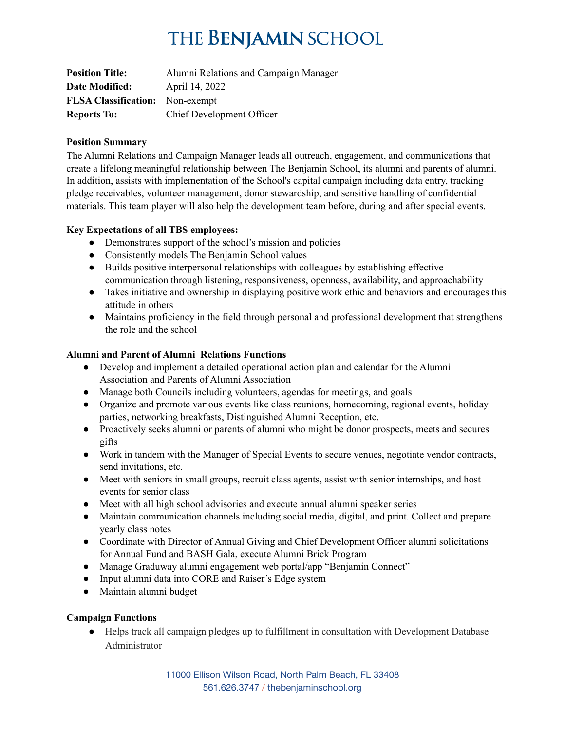## THE BENJAMIN SCHOOL

| <b>Position Title:</b>                 | Alumni Relations and Campaign Manager |
|----------------------------------------|---------------------------------------|
| Date Modified:                         | April 14, 2022                        |
| <b>FLSA Classification:</b> Non-exempt |                                       |
| <b>Reports To:</b>                     | <b>Chief Development Officer</b>      |

### **Position Summary**

The Alumni Relations and Campaign Manager leads all outreach, engagement, and communications that create a lifelong meaningful relationship between The Benjamin School, its alumni and parents of alumni. In addition, assists with implementation of the School's capital campaign including data entry, tracking pledge receivables, volunteer management, donor stewardship, and sensitive handling of confidential materials. This team player will also help the development team before, during and after special events.

### **Key Expectations of all TBS employees:**

- Demonstrates support of the school's mission and policies
- Consistently models The Benjamin School values
- **●** Builds positive interpersonal relationships with colleagues by establishing effective communication through listening, responsiveness, openness, availability, and approachability
- Takes initiative and ownership in displaying positive work ethic and behaviors and encourages this attitude in others
- **●** Maintains proficiency in the field through personal and professional development that strengthens the role and the school

### **Alumni and Parent of Alumni Relations Functions**

- Develop and implement a detailed operational action plan and calendar for the Alumni Association and Parents of Alumni Association
- Manage both Councils including volunteers, agendas for meetings, and goals
- Organize and promote various events like class reunions, homecoming, regional events, holiday parties, networking breakfasts, Distinguished Alumni Reception, etc.
- Proactively seeks alumni or parents of alumni who might be donor prospects, meets and secures gifts
- Work in tandem with the Manager of Special Events to secure venues, negotiate vendor contracts, send invitations, etc.
- Meet with seniors in small groups, recruit class agents, assist with senior internships, and host events for senior class
- Meet with all high school advisories and execute annual alumni speaker series
- Maintain communication channels including social media, digital, and print. Collect and prepare yearly class notes
- Coordinate with Director of Annual Giving and Chief Development Officer alumni solicitations for Annual Fund and BASH Gala, execute Alumni Brick Program
- Manage Graduway alumni engagement web portal/app "Benjamin Connect"
- Input alumni data into CORE and Raiser's Edge system
- Maintain alumni budget

## **Campaign Functions**

● Helps track all campaign pledges up to fulfillment in consultation with Development Database Administrator

> 11000 Ellison Wilson Road, North Palm Beach, FL 33408 561.626.3747 / thebenjaminschool.org